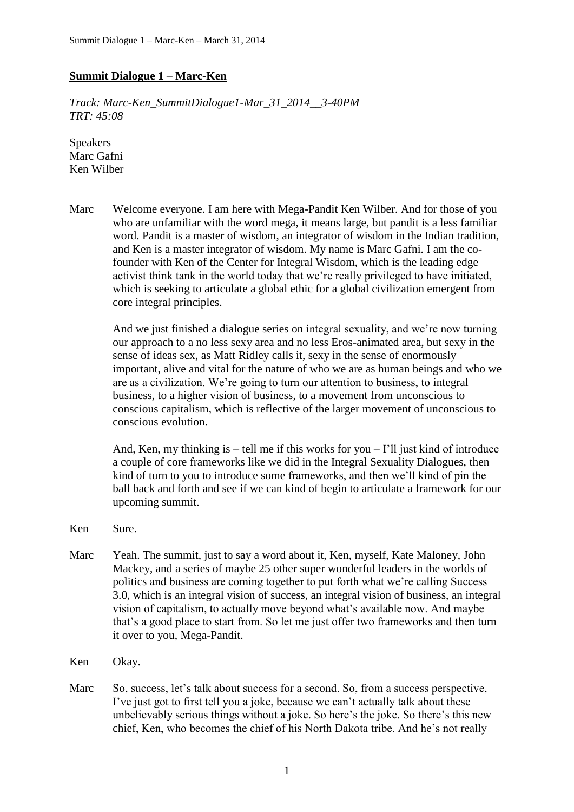## **Summit Dialogue 1 – Marc-Ken**

*Track: Marc-Ken\_SummitDialogue1-Mar\_31\_2014\_\_3-40PM TRT: 45:08*

Speakers Marc Gafni Ken Wilber

Marc Welcome everyone. I am here with Mega-Pandit Ken Wilber. And for those of you who are unfamiliar with the word mega, it means large, but pandit is a less familiar word. Pandit is a master of wisdom, an integrator of wisdom in the Indian tradition, and Ken is a master integrator of wisdom. My name is Marc Gafni. I am the cofounder with Ken of the Center for Integral Wisdom, which is the leading edge activist think tank in the world today that we're really privileged to have initiated, which is seeking to articulate a global ethic for a global civilization emergent from core integral principles.

> And we just finished a dialogue series on integral sexuality, and we're now turning our approach to a no less sexy area and no less Eros-animated area, but sexy in the sense of ideas sex, as Matt Ridley calls it, sexy in the sense of enormously important, alive and vital for the nature of who we are as human beings and who we are as a civilization. We're going to turn our attention to business, to integral business, to a higher vision of business, to a movement from unconscious to conscious capitalism, which is reflective of the larger movement of unconscious to conscious evolution.

> And, Ken, my thinking is  $-$  tell me if this works for you  $-$  I'll just kind of introduce a couple of core frameworks like we did in the Integral Sexuality Dialogues, then kind of turn to you to introduce some frameworks, and then we'll kind of pin the ball back and forth and see if we can kind of begin to articulate a framework for our upcoming summit.

- Ken Sure.
- Marc Yeah. The summit, just to say a word about it, Ken, myself, Kate Maloney, John Mackey, and a series of maybe 25 other super wonderful leaders in the worlds of politics and business are coming together to put forth what we're calling Success 3.0, which is an integral vision of success, an integral vision of business, an integral vision of capitalism, to actually move beyond what's available now. And maybe that's a good place to start from. So let me just offer two frameworks and then turn it over to you, Mega-Pandit.
- Ken Okay.
- Marc So, success, let's talk about success for a second. So, from a success perspective, I've just got to first tell you a joke, because we can't actually talk about these unbelievably serious things without a joke. So here's the joke. So there's this new chief, Ken, who becomes the chief of his North Dakota tribe. And he's not really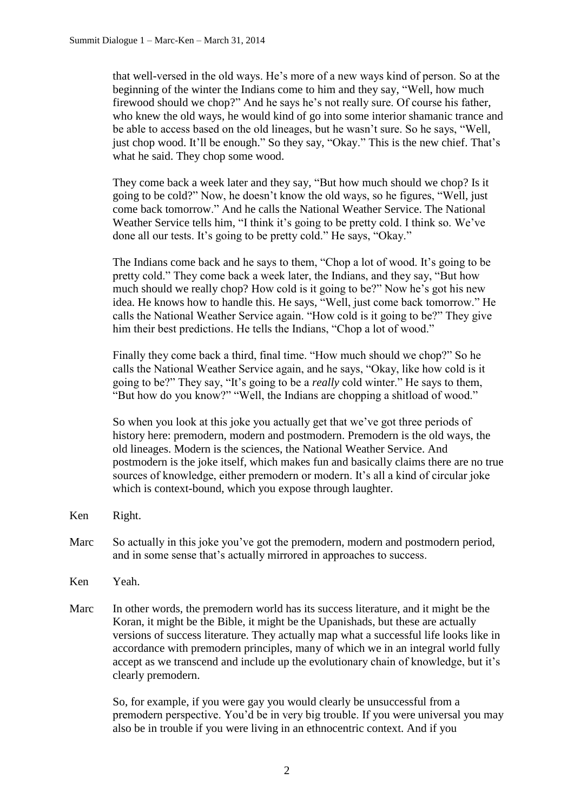that well-versed in the old ways. He's more of a new ways kind of person. So at the beginning of the winter the Indians come to him and they say, "Well, how much firewood should we chop?" And he says he's not really sure. Of course his father, who knew the old ways, he would kind of go into some interior shamanic trance and be able to access based on the old lineages, but he wasn't sure. So he says, "Well, just chop wood. It'll be enough." So they say, "Okay." This is the new chief. That's what he said. They chop some wood.

They come back a week later and they say, "But how much should we chop? Is it going to be cold?" Now, he doesn't know the old ways, so he figures, "Well, just come back tomorrow." And he calls the National Weather Service. The National Weather Service tells him, "I think it's going to be pretty cold. I think so. We've done all our tests. It's going to be pretty cold." He says, "Okay."

The Indians come back and he says to them, "Chop a lot of wood. It's going to be pretty cold." They come back a week later, the Indians, and they say, "But how much should we really chop? How cold is it going to be?" Now he's got his new idea. He knows how to handle this. He says, "Well, just come back tomorrow." He calls the National Weather Service again. "How cold is it going to be?" They give him their best predictions. He tells the Indians, "Chop a lot of wood."

Finally they come back a third, final time. "How much should we chop?" So he calls the National Weather Service again, and he says, "Okay, like how cold is it going to be?" They say, "It's going to be a *really* cold winter." He says to them, "But how do you know?" "Well, the Indians are chopping a shitload of wood."

So when you look at this joke you actually get that we've got three periods of history here: premodern, modern and postmodern. Premodern is the old ways, the old lineages. Modern is the sciences, the National Weather Service. And postmodern is the joke itself, which makes fun and basically claims there are no true sources of knowledge, either premodern or modern. It's all a kind of circular joke which is context-bound, which you expose through laughter.

- Ken Right.
- Marc So actually in this joke you've got the premodern, modern and postmodern period, and in some sense that's actually mirrored in approaches to success.
- Ken Yeah.
- Marc In other words, the premodern world has its success literature, and it might be the Koran, it might be the Bible, it might be the Upanishads, but these are actually versions of success literature. They actually map what a successful life looks like in accordance with premodern principles, many of which we in an integral world fully accept as we transcend and include up the evolutionary chain of knowledge, but it's clearly premodern.

So, for example, if you were gay you would clearly be unsuccessful from a premodern perspective. You'd be in very big trouble. If you were universal you may also be in trouble if you were living in an ethnocentric context. And if you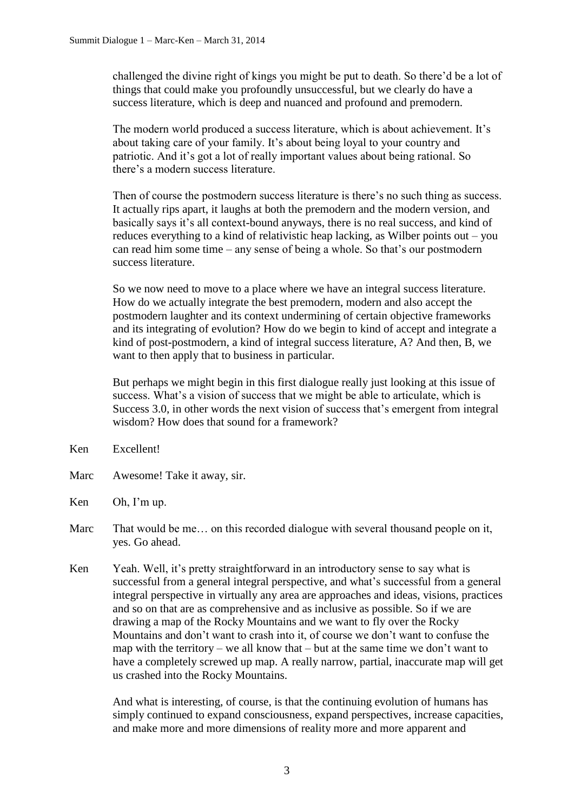challenged the divine right of kings you might be put to death. So there'd be a lot of things that could make you profoundly unsuccessful, but we clearly do have a success literature, which is deep and nuanced and profound and premodern.

The modern world produced a success literature, which is about achievement. It's about taking care of your family. It's about being loyal to your country and patriotic. And it's got a lot of really important values about being rational. So there's a modern success literature.

Then of course the postmodern success literature is there's no such thing as success. It actually rips apart, it laughs at both the premodern and the modern version, and basically says it's all context-bound anyways, there is no real success, and kind of reduces everything to a kind of relativistic heap lacking, as Wilber points out – you can read him some time – any sense of being a whole. So that's our postmodern success literature.

So we now need to move to a place where we have an integral success literature. How do we actually integrate the best premodern, modern and also accept the postmodern laughter and its context undermining of certain objective frameworks and its integrating of evolution? How do we begin to kind of accept and integrate a kind of post-postmodern, a kind of integral success literature, A? And then, B, we want to then apply that to business in particular.

But perhaps we might begin in this first dialogue really just looking at this issue of success. What's a vision of success that we might be able to articulate, which is Success 3.0, in other words the next vision of success that's emergent from integral wisdom? How does that sound for a framework?

- Ken Excellent!
- Marc Awesome! Take it away, sir.
- Ken Oh, I'm up.
- Marc That would be me... on this recorded dialogue with several thousand people on it, yes. Go ahead.
- Ken Yeah. Well, it's pretty straightforward in an introductory sense to say what is successful from a general integral perspective, and what's successful from a general integral perspective in virtually any area are approaches and ideas, visions, practices and so on that are as comprehensive and as inclusive as possible. So if we are drawing a map of the Rocky Mountains and we want to fly over the Rocky Mountains and don't want to crash into it, of course we don't want to confuse the map with the territory – we all know that – but at the same time we don't want to have a completely screwed up map. A really narrow, partial, inaccurate map will get us crashed into the Rocky Mountains.

And what is interesting, of course, is that the continuing evolution of humans has simply continued to expand consciousness, expand perspectives, increase capacities, and make more and more dimensions of reality more and more apparent and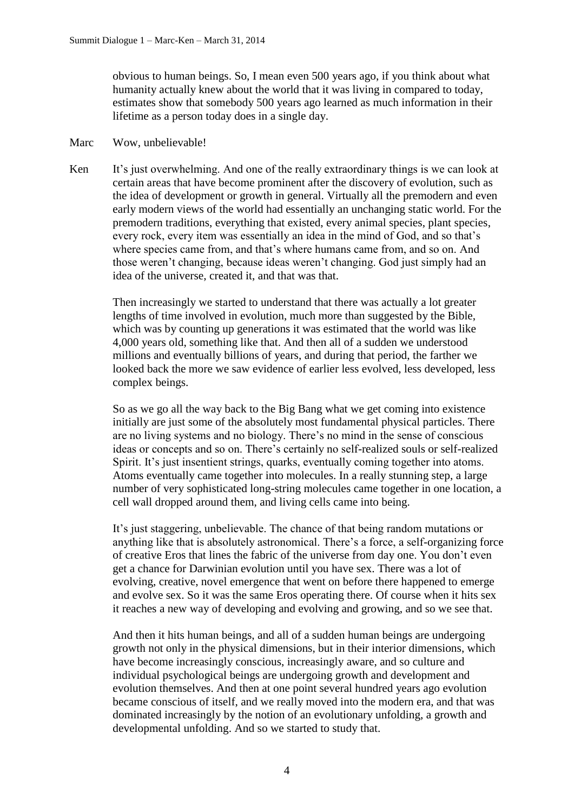obvious to human beings. So, I mean even 500 years ago, if you think about what humanity actually knew about the world that it was living in compared to today, estimates show that somebody 500 years ago learned as much information in their lifetime as a person today does in a single day.

## Marc Wow, unbelievable!

Ken It's just overwhelming. And one of the really extraordinary things is we can look at certain areas that have become prominent after the discovery of evolution, such as the idea of development or growth in general. Virtually all the premodern and even early modern views of the world had essentially an unchanging static world. For the premodern traditions, everything that existed, every animal species, plant species, every rock, every item was essentially an idea in the mind of God, and so that's where species came from, and that's where humans came from, and so on. And those weren't changing, because ideas weren't changing. God just simply had an idea of the universe, created it, and that was that.

Then increasingly we started to understand that there was actually a lot greater lengths of time involved in evolution, much more than suggested by the Bible, which was by counting up generations it was estimated that the world was like 4,000 years old, something like that. And then all of a sudden we understood millions and eventually billions of years, and during that period, the farther we looked back the more we saw evidence of earlier less evolved, less developed, less complex beings.

So as we go all the way back to the Big Bang what we get coming into existence initially are just some of the absolutely most fundamental physical particles. There are no living systems and no biology. There's no mind in the sense of conscious ideas or concepts and so on. There's certainly no self-realized souls or self-realized Spirit. It's just insentient strings, quarks, eventually coming together into atoms. Atoms eventually came together into molecules. In a really stunning step, a large number of very sophisticated long-string molecules came together in one location, a cell wall dropped around them, and living cells came into being.

It's just staggering, unbelievable. The chance of that being random mutations or anything like that is absolutely astronomical. There's a force, a self-organizing force of creative Eros that lines the fabric of the universe from day one. You don't even get a chance for Darwinian evolution until you have sex. There was a lot of evolving, creative, novel emergence that went on before there happened to emerge and evolve sex. So it was the same Eros operating there. Of course when it hits sex it reaches a new way of developing and evolving and growing, and so we see that.

And then it hits human beings, and all of a sudden human beings are undergoing growth not only in the physical dimensions, but in their interior dimensions, which have become increasingly conscious, increasingly aware, and so culture and individual psychological beings are undergoing growth and development and evolution themselves. And then at one point several hundred years ago evolution became conscious of itself, and we really moved into the modern era, and that was dominated increasingly by the notion of an evolutionary unfolding, a growth and developmental unfolding. And so we started to study that.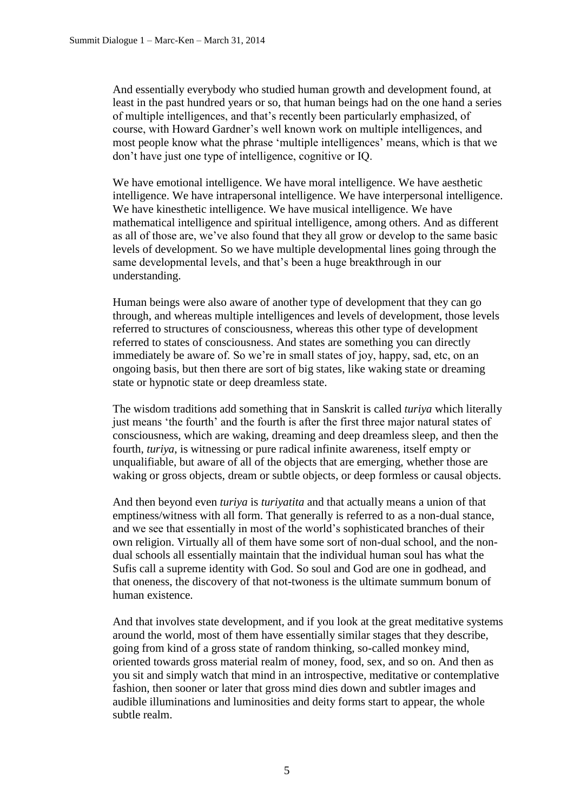And essentially everybody who studied human growth and development found, at least in the past hundred years or so, that human beings had on the one hand a series of multiple intelligences, and that's recently been particularly emphasized, of course, with Howard Gardner's well known work on multiple intelligences, and most people know what the phrase 'multiple intelligences' means, which is that we don't have just one type of intelligence, cognitive or IQ.

We have emotional intelligence. We have moral intelligence. We have aesthetic intelligence. We have intrapersonal intelligence. We have interpersonal intelligence. We have kinesthetic intelligence. We have musical intelligence. We have mathematical intelligence and spiritual intelligence, among others. And as different as all of those are, we've also found that they all grow or develop to the same basic levels of development. So we have multiple developmental lines going through the same developmental levels, and that's been a huge breakthrough in our understanding.

Human beings were also aware of another type of development that they can go through, and whereas multiple intelligences and levels of development, those levels referred to structures of consciousness, whereas this other type of development referred to states of consciousness. And states are something you can directly immediately be aware of. So we're in small states of joy, happy, sad, etc, on an ongoing basis, but then there are sort of big states, like waking state or dreaming state or hypnotic state or deep dreamless state.

The wisdom traditions add something that in Sanskrit is called *turiya* which literally just means 'the fourth' and the fourth is after the first three major natural states of consciousness, which are waking, dreaming and deep dreamless sleep, and then the fourth, *turiya*, is witnessing or pure radical infinite awareness, itself empty or unqualifiable, but aware of all of the objects that are emerging, whether those are waking or gross objects, dream or subtle objects, or deep formless or causal objects.

And then beyond even *turiya* is *turiyatita* and that actually means a union of that emptiness/witness with all form. That generally is referred to as a non-dual stance, and we see that essentially in most of the world's sophisticated branches of their own religion. Virtually all of them have some sort of non-dual school, and the nondual schools all essentially maintain that the individual human soul has what the Sufis call a supreme identity with God. So soul and God are one in godhead, and that oneness, the discovery of that not-twoness is the ultimate summum bonum of human existence.

And that involves state development, and if you look at the great meditative systems around the world, most of them have essentially similar stages that they describe, going from kind of a gross state of random thinking, so-called monkey mind, oriented towards gross material realm of money, food, sex, and so on. And then as you sit and simply watch that mind in an introspective, meditative or contemplative fashion, then sooner or later that gross mind dies down and subtler images and audible illuminations and luminosities and deity forms start to appear, the whole subtle realm.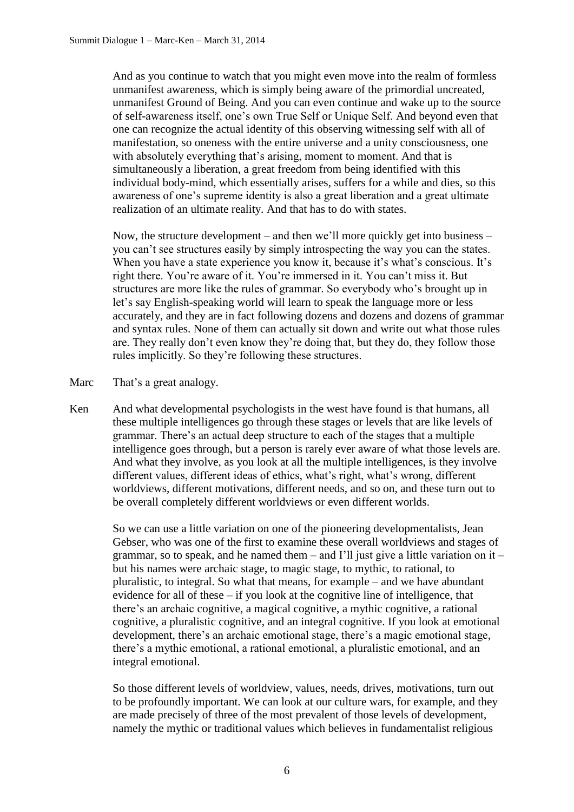And as you continue to watch that you might even move into the realm of formless unmanifest awareness, which is simply being aware of the primordial uncreated, unmanifest Ground of Being. And you can even continue and wake up to the source of self-awareness itself, one's own True Self or Unique Self. And beyond even that one can recognize the actual identity of this observing witnessing self with all of manifestation, so oneness with the entire universe and a unity consciousness, one with absolutely everything that's arising, moment to moment. And that is simultaneously a liberation, a great freedom from being identified with this individual body-mind, which essentially arises, suffers for a while and dies, so this awareness of one's supreme identity is also a great liberation and a great ultimate realization of an ultimate reality. And that has to do with states.

Now, the structure development – and then we'll more quickly get into business – you can't see structures easily by simply introspecting the way you can the states. When you have a state experience you know it, because it's what's conscious. It's right there. You're aware of it. You're immersed in it. You can't miss it. But structures are more like the rules of grammar. So everybody who's brought up in let's say English-speaking world will learn to speak the language more or less accurately, and they are in fact following dozens and dozens and dozens of grammar and syntax rules. None of them can actually sit down and write out what those rules are. They really don't even know they're doing that, but they do, they follow those rules implicitly. So they're following these structures.

Marc That's a great analogy.

Ken And what developmental psychologists in the west have found is that humans, all these multiple intelligences go through these stages or levels that are like levels of grammar. There's an actual deep structure to each of the stages that a multiple intelligence goes through, but a person is rarely ever aware of what those levels are. And what they involve, as you look at all the multiple intelligences, is they involve different values, different ideas of ethics, what's right, what's wrong, different worldviews, different motivations, different needs, and so on, and these turn out to be overall completely different worldviews or even different worlds.

So we can use a little variation on one of the pioneering developmentalists, Jean Gebser, who was one of the first to examine these overall worldviews and stages of grammar, so to speak, and he named them  $-$  and I'll just give a little variation on it  $$ but his names were archaic stage, to magic stage, to mythic, to rational, to pluralistic, to integral. So what that means, for example – and we have abundant evidence for all of these – if you look at the cognitive line of intelligence, that there's an archaic cognitive, a magical cognitive, a mythic cognitive, a rational cognitive, a pluralistic cognitive, and an integral cognitive. If you look at emotional development, there's an archaic emotional stage, there's a magic emotional stage, there's a mythic emotional, a rational emotional, a pluralistic emotional, and an integral emotional.

So those different levels of worldview, values, needs, drives, motivations, turn out to be profoundly important. We can look at our culture wars, for example, and they are made precisely of three of the most prevalent of those levels of development, namely the mythic or traditional values which believes in fundamentalist religious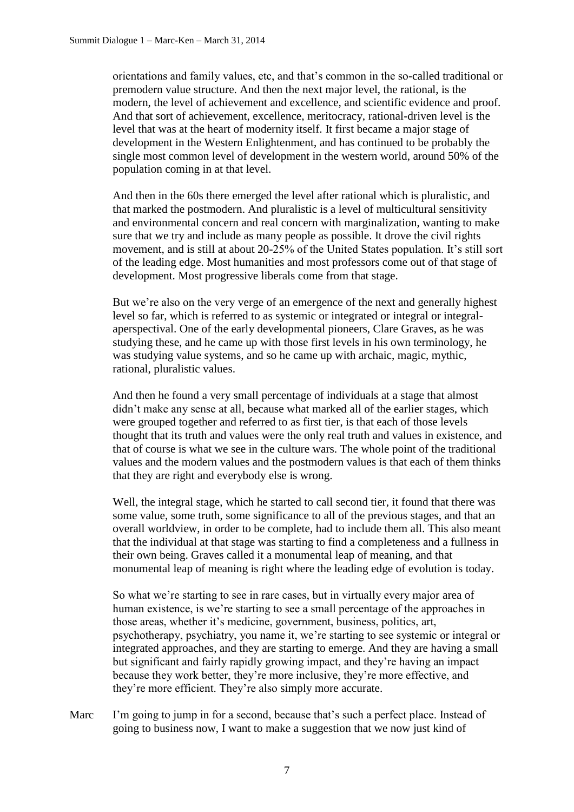orientations and family values, etc, and that's common in the so-called traditional or premodern value structure. And then the next major level, the rational, is the modern, the level of achievement and excellence, and scientific evidence and proof. And that sort of achievement, excellence, meritocracy, rational-driven level is the level that was at the heart of modernity itself. It first became a major stage of development in the Western Enlightenment, and has continued to be probably the single most common level of development in the western world, around 50% of the population coming in at that level.

And then in the 60s there emerged the level after rational which is pluralistic, and that marked the postmodern. And pluralistic is a level of multicultural sensitivity and environmental concern and real concern with marginalization, wanting to make sure that we try and include as many people as possible. It drove the civil rights movement, and is still at about 20-25% of the United States population. It's still sort of the leading edge. Most humanities and most professors come out of that stage of development. Most progressive liberals come from that stage.

But we're also on the very verge of an emergence of the next and generally highest level so far, which is referred to as systemic or integrated or integral or integralaperspectival. One of the early developmental pioneers, Clare Graves, as he was studying these, and he came up with those first levels in his own terminology, he was studying value systems, and so he came up with archaic, magic, mythic, rational, pluralistic values.

And then he found a very small percentage of individuals at a stage that almost didn't make any sense at all, because what marked all of the earlier stages, which were grouped together and referred to as first tier, is that each of those levels thought that its truth and values were the only real truth and values in existence, and that of course is what we see in the culture wars. The whole point of the traditional values and the modern values and the postmodern values is that each of them thinks that they are right and everybody else is wrong.

Well, the integral stage, which he started to call second tier, it found that there was some value, some truth, some significance to all of the previous stages, and that an overall worldview, in order to be complete, had to include them all. This also meant that the individual at that stage was starting to find a completeness and a fullness in their own being. Graves called it a monumental leap of meaning, and that monumental leap of meaning is right where the leading edge of evolution is today.

So what we're starting to see in rare cases, but in virtually every major area of human existence, is we're starting to see a small percentage of the approaches in those areas, whether it's medicine, government, business, politics, art, psychotherapy, psychiatry, you name it, we're starting to see systemic or integral or integrated approaches, and they are starting to emerge. And they are having a small but significant and fairly rapidly growing impact, and they're having an impact because they work better, they're more inclusive, they're more effective, and they're more efficient. They're also simply more accurate.

Marc I'm going to jump in for a second, because that's such a perfect place. Instead of going to business now, I want to make a suggestion that we now just kind of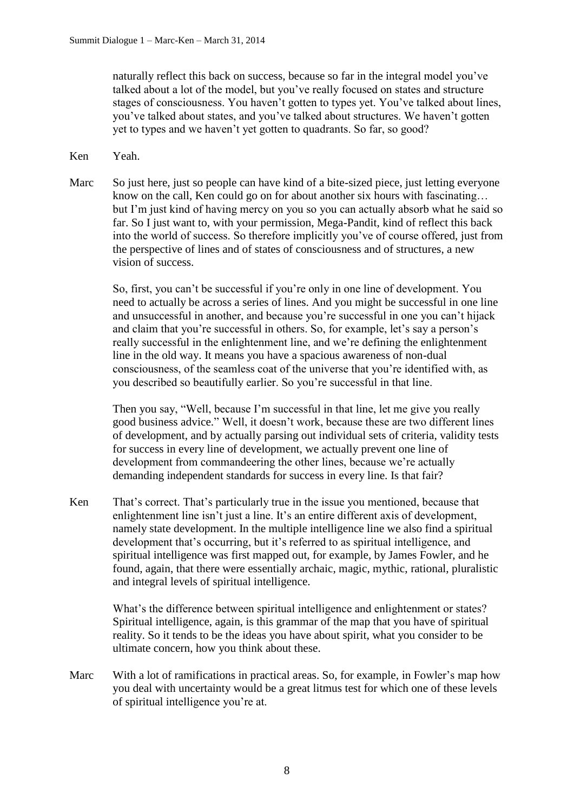naturally reflect this back on success, because so far in the integral model you've talked about a lot of the model, but you've really focused on states and structure stages of consciousness. You haven't gotten to types yet. You've talked about lines, you've talked about states, and you've talked about structures. We haven't gotten yet to types and we haven't yet gotten to quadrants. So far, so good?

- Ken Yeah.
- Marc So just here, just so people can have kind of a bite-sized piece, just letting everyone know on the call, Ken could go on for about another six hours with fascinating… but I'm just kind of having mercy on you so you can actually absorb what he said so far. So I just want to, with your permission, Mega-Pandit, kind of reflect this back into the world of success. So therefore implicitly you've of course offered, just from the perspective of lines and of states of consciousness and of structures, a new vision of success.

So, first, you can't be successful if you're only in one line of development. You need to actually be across a series of lines. And you might be successful in one line and unsuccessful in another, and because you're successful in one you can't hijack and claim that you're successful in others. So, for example, let's say a person's really successful in the enlightenment line, and we're defining the enlightenment line in the old way. It means you have a spacious awareness of non-dual consciousness, of the seamless coat of the universe that you're identified with, as you described so beautifully earlier. So you're successful in that line.

Then you say, "Well, because I'm successful in that line, let me give you really good business advice." Well, it doesn't work, because these are two different lines of development, and by actually parsing out individual sets of criteria, validity tests for success in every line of development, we actually prevent one line of development from commandeering the other lines, because we're actually demanding independent standards for success in every line. Is that fair?

Ken That's correct. That's particularly true in the issue you mentioned, because that enlightenment line isn't just a line. It's an entire different axis of development, namely state development. In the multiple intelligence line we also find a spiritual development that's occurring, but it's referred to as spiritual intelligence, and spiritual intelligence was first mapped out, for example, by James Fowler, and he found, again, that there were essentially archaic, magic, mythic, rational, pluralistic and integral levels of spiritual intelligence.

> What's the difference between spiritual intelligence and enlightenment or states? Spiritual intelligence, again, is this grammar of the map that you have of spiritual reality. So it tends to be the ideas you have about spirit, what you consider to be ultimate concern, how you think about these.

Marc With a lot of ramifications in practical areas. So, for example, in Fowler's map how you deal with uncertainty would be a great litmus test for which one of these levels of spiritual intelligence you're at.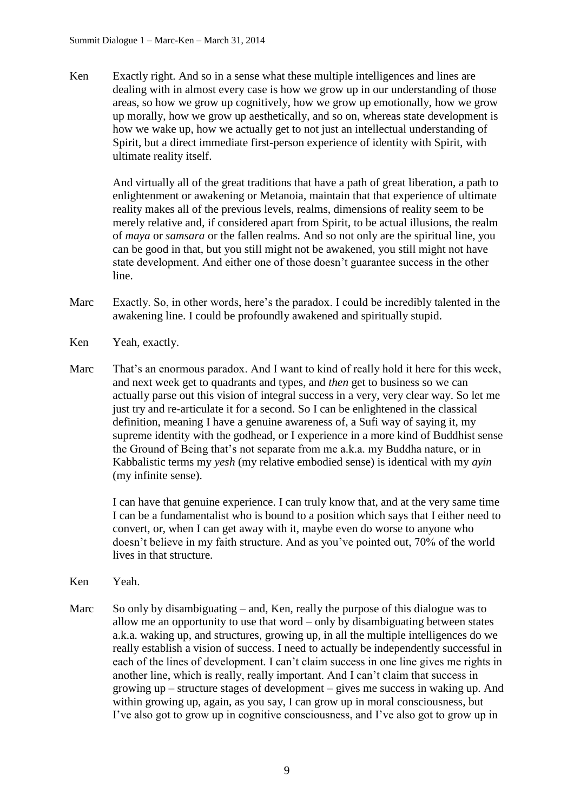Ken Exactly right. And so in a sense what these multiple intelligences and lines are dealing with in almost every case is how we grow up in our understanding of those areas, so how we grow up cognitively, how we grow up emotionally, how we grow up morally, how we grow up aesthetically, and so on, whereas state development is how we wake up, how we actually get to not just an intellectual understanding of Spirit, but a direct immediate first-person experience of identity with Spirit, with ultimate reality itself.

> And virtually all of the great traditions that have a path of great liberation, a path to enlightenment or awakening or Metanoia, maintain that that experience of ultimate reality makes all of the previous levels, realms, dimensions of reality seem to be merely relative and, if considered apart from Spirit, to be actual illusions, the realm of *maya* or *samsara* or the fallen realms. And so not only are the spiritual line, you can be good in that, but you still might not be awakened, you still might not have state development. And either one of those doesn't guarantee success in the other line.

- Marc Exactly. So, in other words, here's the paradox. I could be incredibly talented in the awakening line. I could be profoundly awakened and spiritually stupid.
- Ken Yeah, exactly.
- Marc That's an enormous paradox. And I want to kind of really hold it here for this week, and next week get to quadrants and types, and *then* get to business so we can actually parse out this vision of integral success in a very, very clear way. So let me just try and re-articulate it for a second. So I can be enlightened in the classical definition, meaning I have a genuine awareness of, a Sufi way of saying it, my supreme identity with the godhead, or I experience in a more kind of Buddhist sense the Ground of Being that's not separate from me a.k.a. my Buddha nature, or in Kabbalistic terms my *yesh* (my relative embodied sense) is identical with my *ayin* (my infinite sense).

I can have that genuine experience. I can truly know that, and at the very same time I can be a fundamentalist who is bound to a position which says that I either need to convert, or, when I can get away with it, maybe even do worse to anyone who doesn't believe in my faith structure. And as you've pointed out, 70% of the world lives in that structure.

- Ken Yeah.
- Marc So only by disambiguating and, Ken, really the purpose of this dialogue was to allow me an opportunity to use that word – only by disambiguating between states a.k.a. waking up, and structures, growing up, in all the multiple intelligences do we really establish a vision of success. I need to actually be independently successful in each of the lines of development. I can't claim success in one line gives me rights in another line, which is really, really important. And I can't claim that success in growing up – structure stages of development – gives me success in waking up. And within growing up, again, as you say, I can grow up in moral consciousness, but I've also got to grow up in cognitive consciousness, and I've also got to grow up in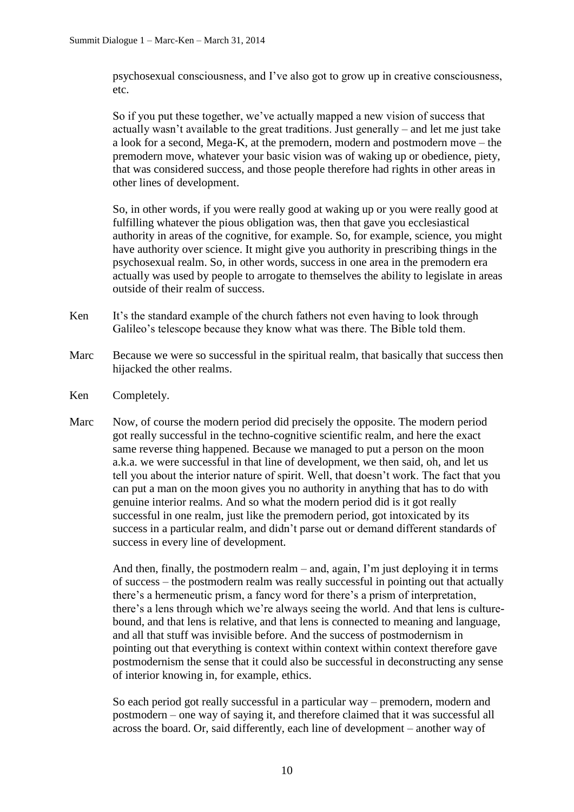psychosexual consciousness, and I've also got to grow up in creative consciousness, etc.

So if you put these together, we've actually mapped a new vision of success that actually wasn't available to the great traditions. Just generally – and let me just take a look for a second, Mega-K, at the premodern, modern and postmodern move – the premodern move, whatever your basic vision was of waking up or obedience, piety, that was considered success, and those people therefore had rights in other areas in other lines of development.

So, in other words, if you were really good at waking up or you were really good at fulfilling whatever the pious obligation was, then that gave you ecclesiastical authority in areas of the cognitive, for example. So, for example, science, you might have authority over science. It might give you authority in prescribing things in the psychosexual realm. So, in other words, success in one area in the premodern era actually was used by people to arrogate to themselves the ability to legislate in areas outside of their realm of success.

- Ken It's the standard example of the church fathers not even having to look through Galileo's telescope because they know what was there. The Bible told them.
- Marc Because we were so successful in the spiritual realm, that basically that success then hijacked the other realms.
- Ken Completely.
- Marc Now, of course the modern period did precisely the opposite. The modern period got really successful in the techno-cognitive scientific realm, and here the exact same reverse thing happened. Because we managed to put a person on the moon a.k.a. we were successful in that line of development, we then said, oh, and let us tell you about the interior nature of spirit. Well, that doesn't work. The fact that you can put a man on the moon gives you no authority in anything that has to do with genuine interior realms. And so what the modern period did is it got really successful in one realm, just like the premodern period, got intoxicated by its success in a particular realm, and didn't parse out or demand different standards of success in every line of development.

And then, finally, the postmodern realm – and, again, I'm just deploying it in terms of success – the postmodern realm was really successful in pointing out that actually there's a hermeneutic prism, a fancy word for there's a prism of interpretation, there's a lens through which we're always seeing the world. And that lens is culturebound, and that lens is relative, and that lens is connected to meaning and language, and all that stuff was invisible before. And the success of postmodernism in pointing out that everything is context within context within context therefore gave postmodernism the sense that it could also be successful in deconstructing any sense of interior knowing in, for example, ethics.

So each period got really successful in a particular way – premodern, modern and postmodern – one way of saying it, and therefore claimed that it was successful all across the board. Or, said differently, each line of development – another way of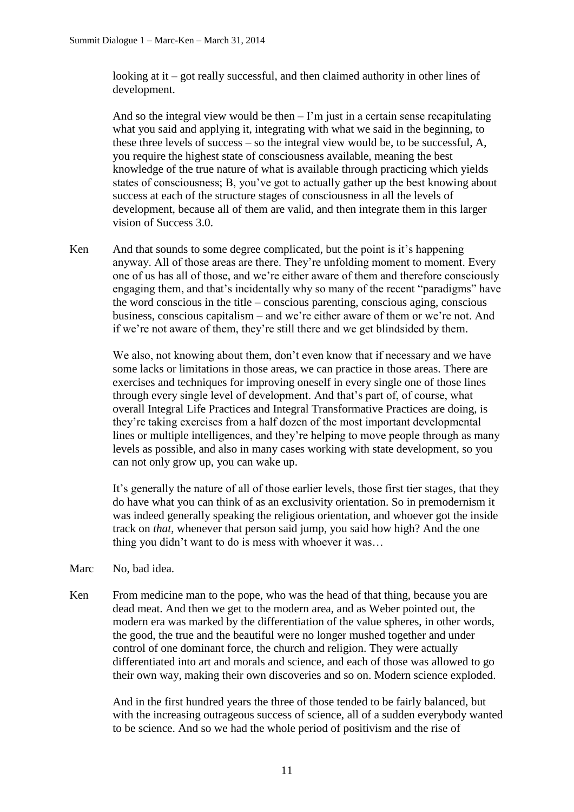looking at it – got really successful, and then claimed authority in other lines of development.

And so the integral view would be then  $-1$ 'm just in a certain sense recapitulating what you said and applying it, integrating with what we said in the beginning, to these three levels of success – so the integral view would be, to be successful, A, you require the highest state of consciousness available, meaning the best knowledge of the true nature of what is available through practicing which yields states of consciousness; B, you've got to actually gather up the best knowing about success at each of the structure stages of consciousness in all the levels of development, because all of them are valid, and then integrate them in this larger vision of Success 3.0.

Ken And that sounds to some degree complicated, but the point is it's happening anyway. All of those areas are there. They're unfolding moment to moment. Every one of us has all of those, and we're either aware of them and therefore consciously engaging them, and that's incidentally why so many of the recent "paradigms" have the word conscious in the title – conscious parenting, conscious aging, conscious business, conscious capitalism – and we're either aware of them or we're not. And if we're not aware of them, they're still there and we get blindsided by them.

We also, not knowing about them, don't even know that if necessary and we have some lacks or limitations in those areas, we can practice in those areas. There are exercises and techniques for improving oneself in every single one of those lines through every single level of development. And that's part of, of course, what overall Integral Life Practices and Integral Transformative Practices are doing, is they're taking exercises from a half dozen of the most important developmental lines or multiple intelligences, and they're helping to move people through as many levels as possible, and also in many cases working with state development, so you can not only grow up, you can wake up.

It's generally the nature of all of those earlier levels, those first tier stages, that they do have what you can think of as an exclusivity orientation. So in premodernism it was indeed generally speaking the religious orientation, and whoever got the inside track on *that*, whenever that person said jump, you said how high? And the one thing you didn't want to do is mess with whoever it was…

- Marc No. bad idea.
- Ken From medicine man to the pope, who was the head of that thing, because you are dead meat. And then we get to the modern area, and as Weber pointed out, the modern era was marked by the differentiation of the value spheres, in other words, the good, the true and the beautiful were no longer mushed together and under control of one dominant force, the church and religion. They were actually differentiated into art and morals and science, and each of those was allowed to go their own way, making their own discoveries and so on. Modern science exploded.

And in the first hundred years the three of those tended to be fairly balanced, but with the increasing outrageous success of science, all of a sudden everybody wanted to be science. And so we had the whole period of positivism and the rise of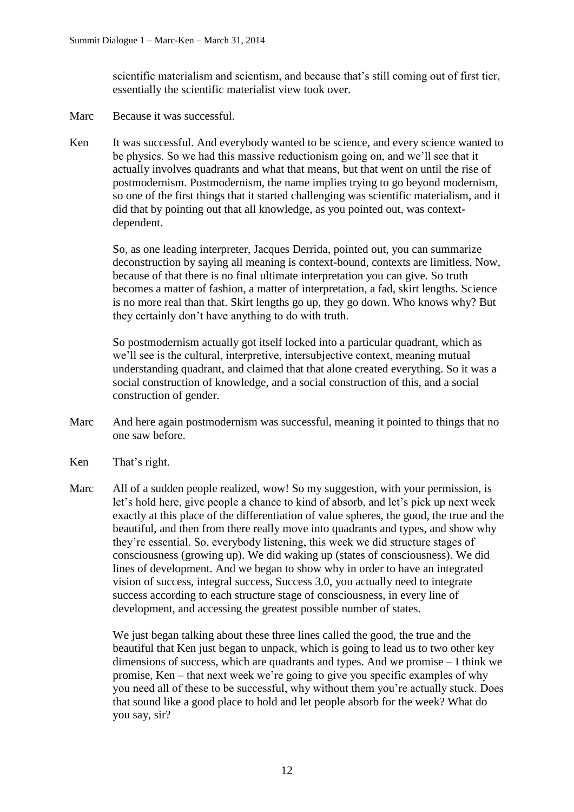scientific materialism and scientism, and because that's still coming out of first tier, essentially the scientific materialist view took over.

- Marc Because it was successful.
- Ken It was successful. And everybody wanted to be science, and every science wanted to be physics. So we had this massive reductionism going on, and we'll see that it actually involves quadrants and what that means, but that went on until the rise of postmodernism. Postmodernism, the name implies trying to go beyond modernism, so one of the first things that it started challenging was scientific materialism, and it did that by pointing out that all knowledge, as you pointed out, was contextdependent.

So, as one leading interpreter, Jacques Derrida, pointed out, you can summarize deconstruction by saying all meaning is context-bound, contexts are limitless. Now, because of that there is no final ultimate interpretation you can give. So truth becomes a matter of fashion, a matter of interpretation, a fad, skirt lengths. Science is no more real than that. Skirt lengths go up, they go down. Who knows why? But they certainly don't have anything to do with truth.

So postmodernism actually got itself locked into a particular quadrant, which as we'll see is the cultural, interpretive, intersubjective context, meaning mutual understanding quadrant, and claimed that that alone created everything. So it was a social construction of knowledge, and a social construction of this, and a social construction of gender.

- Marc And here again postmodernism was successful, meaning it pointed to things that no one saw before.
- Ken That's right.
- Marc All of a sudden people realized, wow! So my suggestion, with your permission, is let's hold here, give people a chance to kind of absorb, and let's pick up next week exactly at this place of the differentiation of value spheres, the good, the true and the beautiful, and then from there really move into quadrants and types, and show why they're essential. So, everybody listening, this week we did structure stages of consciousness (growing up). We did waking up (states of consciousness). We did lines of development. And we began to show why in order to have an integrated vision of success, integral success, Success 3.0, you actually need to integrate success according to each structure stage of consciousness, in every line of development, and accessing the greatest possible number of states.

We just began talking about these three lines called the good, the true and the beautiful that Ken just began to unpack, which is going to lead us to two other key dimensions of success, which are quadrants and types. And we promise – I think we promise, Ken – that next week we're going to give you specific examples of why you need all of these to be successful, why without them you're actually stuck. Does that sound like a good place to hold and let people absorb for the week? What do you say, sir?